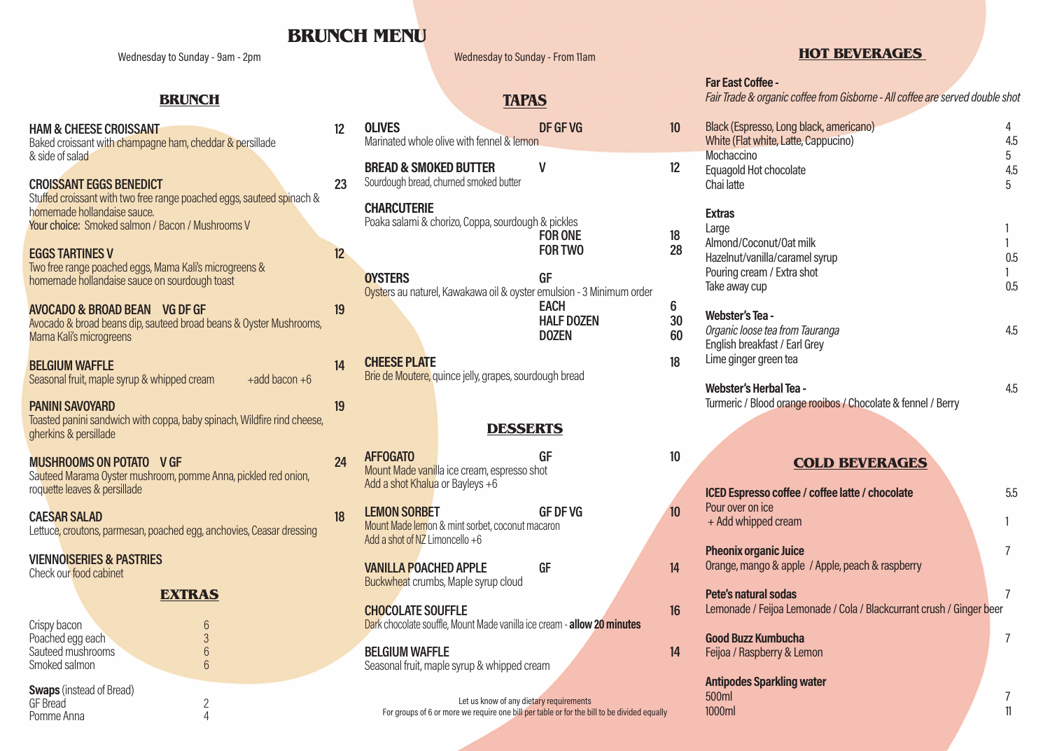# **BRUNCH MENU**

Wednesday to Sunday - 9am - 2pm

## **BRUNCH**

| <b>HAM &amp; CHEESE CROISSANT</b><br>Baked croissant with champagne ham, cheddar & persillade<br>& side of salad                                                                           | 12              |
|--------------------------------------------------------------------------------------------------------------------------------------------------------------------------------------------|-----------------|
| <b>CROISSANT EGGS BENEDICT</b><br>Stuffed croissant with two free range poached eggs, sauteed spinach &<br>homemade hollandaise sauce.<br>Your choice: Smoked salmon / Bacon / Mushrooms V | 23              |
| <b>EGGS TARTINES V</b><br>Two free range poached eggs, Mama Kali's microgreens &<br>homemade hollandaise sauce on sourdough toast                                                          | 12 <sup>2</sup> |
| AVOCADO & BROAD BEAN VG DF GF<br>Avocado & broad beans dip, sauteed broad beans & Oyster Mushrooms,<br>Mama Kali's microgreens                                                             | 19              |
| <b>BELGIUM WAFFLE</b><br>Seasonal fruit, maple syrup & whipped cream<br>$+$ add bacon $+6$                                                                                                 | 14              |
| <b>PANINI SAVOYARD</b><br>Toasted panini sandwich with coppa, baby spinach, Wildfire rind cheese,<br>gherkins & persillade                                                                 | 19              |
| <b>MUSHROOMS ON POTATO V GF</b><br>Sauteed Marama Oyster mushroom, pomme Anna, pickled red onion,<br>roquette leaves & persillade                                                          | 24              |
| <b>CAESAR SALAD</b><br>Lettuce, croutons, parmesan, poached egg, anchovies, Ceasar dressing                                                                                                | 18              |

**VIENNOISERIES & PASTRIES** Check our food cabinet

## **EXTRAS**

| Crispy bacon                                            | 6 |
|---------------------------------------------------------|---|
| Poached egg each                                        | 3 |
| Sauteed mushrooms                                       | 6 |
| Smoked salmon                                           | հ |
| <b>Swaps</b> (instead of Bread)<br>$\cap$ $\cap$ $\cap$ |   |

| <b>Swaps</b> (instead of Bread) |  |
|---------------------------------|--|
| GF Bread                        |  |
| Pomme Anna                      |  |

|    | <b>TAPAS</b>                                                                                               |                                                 |                  |
|----|------------------------------------------------------------------------------------------------------------|-------------------------------------------------|------------------|
| 12 | <b>OLIVES</b><br>Marinated whole olive with fennel & lemon                                                 | DF GF VG                                        | 10 <sup>10</sup> |
| 23 | <b>BREAD &amp; SMOKED BUTTER</b><br>Sourdough bread, churned smoked butter                                 | ۷                                               | 12               |
| 12 | <b>CHARCUTERIE</b><br>Poaka salami & chorizo, Coppa, sourdough & pickles                                   | <b>FOR ONE</b><br><b>FOR TWO</b>                | 18<br>28         |
| 19 | <b>OYSTERS</b><br>Oysters au naturel, Kawakawa oil & oyster emulsion - 3 Minimum order                     | GF<br>EACH<br><b>HALF DOZEN</b><br><b>DOZEN</b> | 6<br>30<br>60    |
| 14 | <b>CHEESE PLATE</b><br>Brie de Moutere, quince jelly, grapes, sourdough bread                              |                                                 | 18               |
| 19 | <b>DESSERTS</b>                                                                                            |                                                 |                  |
| 24 | <b>AFFOGATO</b><br>Mount Made vanilla ice cream, espresso shot<br>Add a shot Khalua or Bayleys +6          | GF                                              | 10               |
| 18 | <b>LEMON SORBET</b><br>Mount Made lemon & mint sorbet, coconut macaron<br>Add a shot of NZ Limoncello $+6$ | <b>GF DF VG</b>                                 | 10 <sup>10</sup> |
|    | <b>VANILLA POACHED APPLE</b><br>Buckwheat crumbs, Maple syrup cloud                                        | GF                                              | 14               |
|    | <b>CHOCOLATE SOUFFLE</b><br>Dark chocolate souffle, Mount Made vanilla ice cream - allow 20 minutes        |                                                 | 16               |
|    | <b>BELGIUM WAFFLE</b><br>Seasonal fruit, maple syrup & whipped cream                                       |                                                 | 14               |
|    | Let us know of any dietary requirements                                                                    |                                                 |                  |

Wednesday to Sunday - From 11am

For groups of 6 or more we require one bill per table or for the bill to be divided equally

## **HOT BEVERAGES**

|           |          | <b>Far East Coffee -</b><br>Fair Trade & organic coffee from Gisborne - All coffee are served double shot                          |                           |
|-----------|----------|------------------------------------------------------------------------------------------------------------------------------------|---------------------------|
|           | 10       | Black (Espresso, Long black, americano)                                                                                            | 4                         |
|           |          | White (Flat white, Latte, Cappucino)                                                                                               | 4.5                       |
|           | 12       | Mochaccino                                                                                                                         | 5                         |
|           |          | Equagold Hot chocolate<br>Chai latte                                                                                               | 4.5<br>5                  |
| num order | 18<br>28 | <b>Extras</b><br>Large<br>Almond/Coconut/Oat milk<br>Hazelnut/vanilla/caramel syrup<br>Pouring cream / Extra shot<br>Take away cup | 1<br>1<br>0.5<br>1<br>0.5 |
|           | 6        | <b>Webster's Tea -</b>                                                                                                             |                           |
|           | 30<br>60 | Organic loose tea from Tauranga                                                                                                    | 4.5                       |
|           |          | English breakfast / Earl Grey                                                                                                      |                           |
|           | 18       | Lime ginger green tea                                                                                                              |                           |
|           |          | <b>Webster's Herbal Tea -</b><br>Turmeric / Blood orange rooibos / Chocolate & fennel / Berry                                      | 4.5                       |
|           |          |                                                                                                                                    |                           |
|           | 10       | <b>COLD BEVERAGES</b>                                                                                                              |                           |
|           |          | ICED Espresso coffee / coffee latte / chocolate                                                                                    | 5.5                       |
|           | 10       | Pour over on ice<br>+ Add whipped cream                                                                                            | 1                         |
|           | 14       | <b>Pheonix organic Juice</b><br>Orange, mango & apple / Apple, peach & raspberry                                                   | 7                         |
|           |          | Pete's natural sodas                                                                                                               | 7                         |
| ninutes   | 16       | Lemonade / Feijoa Lemonade / Cola / Blackcurrant crush / Ginger beer                                                               |                           |
|           | 14       | <b>Good Buzz Kumbucha</b><br>Feijoa / Raspberry & Lemon                                                                            | 7                         |
|           |          | <b>Antipodes Sparkling water</b><br>500ml                                                                                          | 7                         |
|           |          |                                                                                                                                    |                           |

1000ml 11